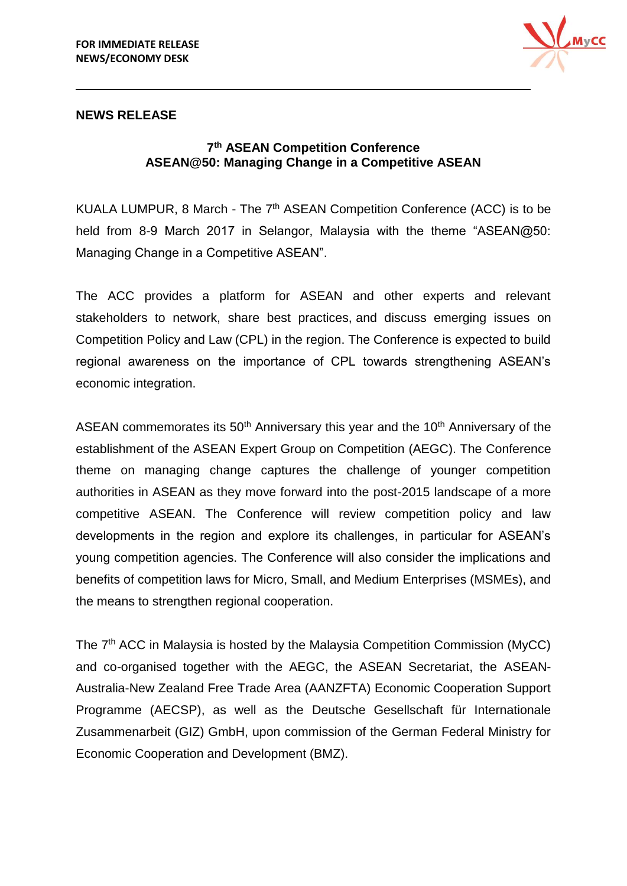

## **NEWS RELEASE**

## **7 th ASEAN Competition Conference ASEAN@50: Managing Change in a Competitive ASEAN**

KUALA LUMPUR, 8 March - The 7<sup>th</sup> ASEAN Competition Conference (ACC) is to be held from 8-9 March 2017 in Selangor, Malaysia with the theme "ASEAN@50: Managing Change in a Competitive ASEAN".

The ACC provides a platform for ASEAN and other experts and relevant stakeholders to network, share best practices, and discuss emerging issues on Competition Policy and Law (CPL) in the region. The Conference is expected to build regional awareness on the importance of CPL towards strengthening ASEAN's economic integration.

ASEAN commemorates its  $50<sup>th</sup>$  Anniversary this year and the  $10<sup>th</sup>$  Anniversary of the establishment of the ASEAN Expert Group on Competition (AEGC). The Conference theme on managing change captures the challenge of younger competition authorities in ASEAN as they move forward into the post-2015 landscape of a more competitive ASEAN. The Conference will review competition policy and law developments in the region and explore its challenges, in particular for ASEAN's young competition agencies. The Conference will also consider the implications and benefits of competition laws for Micro, Small, and Medium Enterprises (MSMEs), and the means to strengthen regional cooperation.

The 7<sup>th</sup> ACC in Malaysia is hosted by the Malaysia Competition Commission (MyCC) and co-organised together with the AEGC, the ASEAN Secretariat, the ASEAN-Australia-New Zealand Free Trade Area (AANZFTA) Economic Cooperation Support Programme (AECSP), as well as the Deutsche Gesellschaft für Internationale Zusammenarbeit (GIZ) GmbH, upon commission of the German Federal Ministry for Economic Cooperation and Development (BMZ).